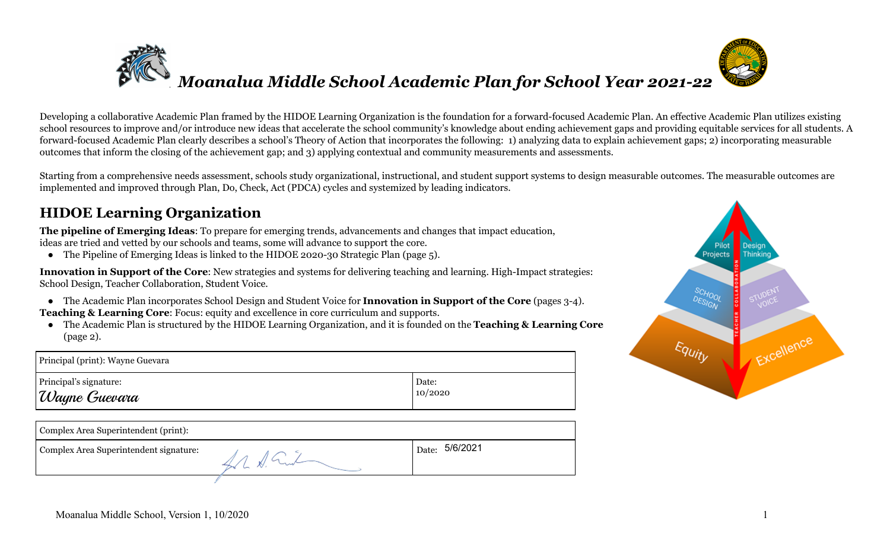

Developing a collaborative Academic Plan framed by the HIDOE Learning Organization is the foundation for a forward-focused Academic Plan. An effective Academic Plan utilizes existing school resources to improve and/or introduce new ideas that accelerate the school community's knowledge about ending achievement gaps and providing equitable services for all students. A forward-focused Academic Plan clearly describes a school's Theory of Action that incorporates the following: 1) analyzing data to explain achievement gaps; 2) incorporating measurable outcomes that inform the closing of the achievement gap; and 3) applying contextual and community measurements and assessments.

Starting from a comprehensive needs assessment, schools study organizational, instructional, and student support systems to design measurable outcomes. The measurable outcomes are implemented and improved through Plan, Do, Check, Act (PDCA) cycles and systemized by leading indicators.

### **HIDOE Learning Organization**

**The pipeline of Emerging Ideas**: To prepare for emerging trends, advancements and changes that impact education, ideas are tried and vetted by our schools and teams, some will advance to support the core.

● The Pipeline of Emerging Ideas is linked to the HIDOE 2020-30 Strategic Plan (page 5).

**Innovation in Support of the Core**: New strategies and systems for delivering teaching and learning. High-Impact strategies: School Design, Teacher Collaboration, Student Voice.

● The Academic Plan incorporates School Design and Student Voice for **Innovation in Support of the Core** (pages 3-4).

**Teaching & Learning Core**: Focus: equity and excellence in core curriculum and supports.

● The Academic Plan is structured by the HIDOE Learning Organization, and it is founded on the **Teaching & Learning Core** (page 2).

| Principal (print): Wayne Guevara |         |
|----------------------------------|---------|
| Principal's signature:           | Date:   |
| Wayne Guevara                    | 10/2020 |

| Complex Area Superintendent (print):   |                |
|----------------------------------------|----------------|
| Complex Area Superintendent signature: | Date: 5/6/2021 |
|                                        |                |

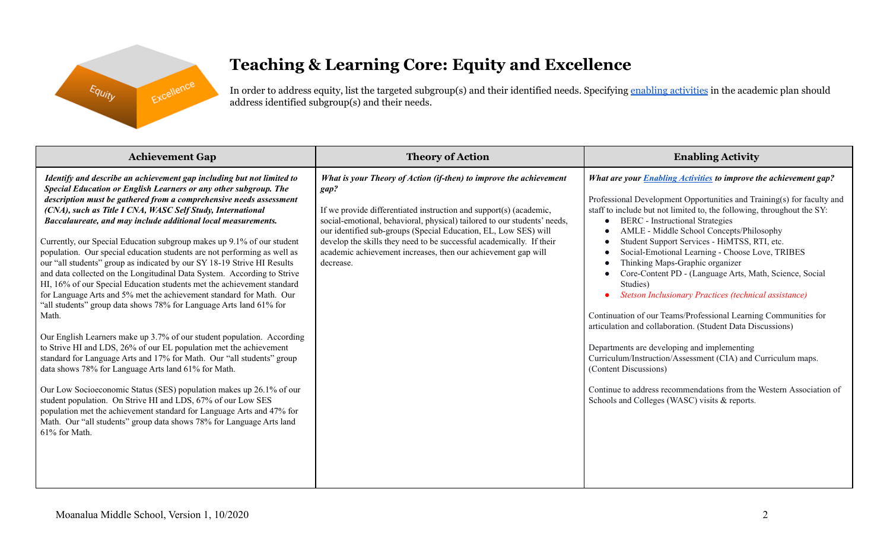

## **Teaching & Learning Core: Equity and Excellence**

In order to address equity, list the targeted subgroup(s) and their identified needs. Specifying enabling [activities](https://docs.google.com/document/d/1_CBCCCUPTqpr2sEeh1fQ9EUVupyhBBZlYUdzcm9zCw0/edit) in the academic plan should address identified subgroup(s) and their needs.

| <b>Achievement Gap</b>                                                                                                                                                                                                                                                                                                                                                                                                                                                                                                                                                                                                                                                                                                                                                                                                                                                                                                                                                                                                                                                                                                                                                                                                                                                                                                                                                                                                                                                              | <b>Theory of Action</b>                                                                                                                                                                                                                                                                                                                                                                                                                               | <b>Enabling Activity</b>                                                                                                                                                                                                                                                                                                                                                                                                                                                                                                                                                                                                                                                                                                                                                                                                                                                                                                                                                                  |
|-------------------------------------------------------------------------------------------------------------------------------------------------------------------------------------------------------------------------------------------------------------------------------------------------------------------------------------------------------------------------------------------------------------------------------------------------------------------------------------------------------------------------------------------------------------------------------------------------------------------------------------------------------------------------------------------------------------------------------------------------------------------------------------------------------------------------------------------------------------------------------------------------------------------------------------------------------------------------------------------------------------------------------------------------------------------------------------------------------------------------------------------------------------------------------------------------------------------------------------------------------------------------------------------------------------------------------------------------------------------------------------------------------------------------------------------------------------------------------------|-------------------------------------------------------------------------------------------------------------------------------------------------------------------------------------------------------------------------------------------------------------------------------------------------------------------------------------------------------------------------------------------------------------------------------------------------------|-------------------------------------------------------------------------------------------------------------------------------------------------------------------------------------------------------------------------------------------------------------------------------------------------------------------------------------------------------------------------------------------------------------------------------------------------------------------------------------------------------------------------------------------------------------------------------------------------------------------------------------------------------------------------------------------------------------------------------------------------------------------------------------------------------------------------------------------------------------------------------------------------------------------------------------------------------------------------------------------|
| Identify and describe an achievement gap including but not limited to<br>Special Education or English Learners or any other subgroup. The<br>description must be gathered from a comprehensive needs assessment<br>(CNA), such as Title I CNA, WASC Self Study, International<br>Baccalaureate, and may include additional local measurements.<br>Currently, our Special Education subgroup makes up 9.1% of our student<br>population. Our special education students are not performing as well as<br>our "all students" group as indicated by our SY 18-19 Strive HI Results<br>and data collected on the Longitudinal Data System. According to Strive<br>HI, 16% of our Special Education students met the achievement standard<br>for Language Arts and 5% met the achievement standard for Math. Our<br>"all students" group data shows 78% for Language Arts land 61% for<br>Math.<br>Our English Learners make up 3.7% of our student population. According<br>to Strive HI and LDS, 26% of our EL population met the achievement<br>standard for Language Arts and 17% for Math. Our "all students" group<br>data shows 78% for Language Arts land 61% for Math.<br>Our Low Socioeconomic Status (SES) population makes up 26.1% of our<br>student population. On Strive HI and LDS, 67% of our Low SES<br>population met the achievement standard for Language Arts and 47% for<br>Math. Our "all students" group data shows 78% for Language Arts land<br>61% for Math. | What is your Theory of Action (if-then) to improve the achievement<br>gap?<br>If we provide differentiated instruction and support(s) (academic,<br>social-emotional, behavioral, physical) tailored to our students' needs,<br>our identified sub-groups (Special Education, EL, Low SES) will<br>develop the skills they need to be successful academically. If their<br>academic achievement increases, then our achievement gap will<br>decrease. | <b>What are your Enabling Activities to improve the achievement gap?</b><br>Professional Development Opportunities and Training(s) for faculty and<br>staff to include but not limited to, the following, throughout the SY:<br><b>BERC</b> - Instructional Strategies<br>AMLE - Middle School Concepts/Philosophy<br>Student Support Services - HiMTSS, RTI, etc.<br>Social-Emotional Learning - Choose Love, TRIBES<br>Thinking Maps-Graphic organizer<br>Core-Content PD - (Language Arts, Math, Science, Social<br>Studies)<br>Stetson Inclusionary Practices (technical assistance)<br>Continuation of our Teams/Professional Learning Communities for<br>articulation and collaboration. (Student Data Discussions)<br>Departments are developing and implementing<br>Curriculum/Instruction/Assessment (CIA) and Curriculum maps.<br>(Content Discussions)<br>Continue to address recommendations from the Western Association of<br>Schools and Colleges (WASC) visits & reports. |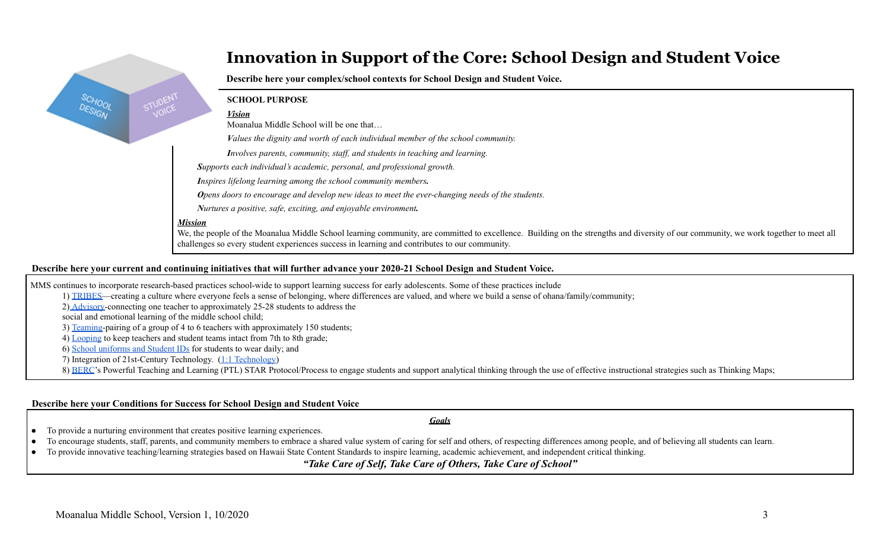### **Innovation in Support of the Core: School Design and Student Voice**

**Describe here your complex/school contexts for School Design and Student Voice.**

#### **SCHOOL PURPOSE**

#### *Vision*

Moanalua Middle School will be one that…

*Values the dignity and worth of each individual member of the school community.*

*Involves parents, community, staf , and students in teaching and learning.*

*Supports each individual's academic, personal, and professional growth.*

*Inspires lifelong learning among the school community members.*

*Opens doors to encourage and develop new ideas to meet the ever-changing needs of the students.*

*Nurtures a positive, safe, exciting, and enjoyable environment.*

#### *Mission*

We, the people of the Moanalua Middle School learning community, are committed to excellence. Building on the strengths and diversity of our community, we work together to meet all challenges so every student experiences success in learning and contributes to our community.

#### Describe here your current and continuing initiatives that will further advance your 2020-21 School Design and Student Voice.

MMS continues to incorporate research-based practices school-wide to support learning success for early adolescents. Some of these practices include

1) [TRIBES—](http://tribes.com/)creating a culture where everyone feels a sense of belonging, where differences are valued, and where we build a sense of ohana/family/community;

2) [Advisory-](http://www.amle.org/BrowsebyTopic/WhatsNew/WNDet.aspx?ArtMID=888&ArticleID=297)connecting one teacher to approximately 25-28 students to address the

social and emotional learning of the middle school child;

3) [Teaming](https://www.amle.org/BrowsebyTopic/WhatsNew/WNDet/TabId/270/ArtMID/888/ArticleID/770/Turning-Up-Teaming.aspx)-pairing of a group of 4 to 6 teachers with approximately 150 students;

4) [Looping](https://www.amle.org/BrowsebyTopic/WhatsNew/WNDet/TabId/270/ArtMID/888/ArticleID/311/Looping.aspx) to keep teachers and student teams intact from 7th to 8th grade;

6) School [uniforms](https://docs.google.com/presentation/d/19FxX32Wxm_DlOp9phrXR0XPZGBYvZGe2dtevNEo8OIY/edit?usp=sharing) and Student IDs for students to wear daily; and

7) Integration of 21st-Century Technology. (1:1 [Technology\)](https://www.moanaluamiddle.org/apps/pages/index.jsp?uREC_ID=239844&type=d&pREC_ID=553400)

8) [BERC](http://www.bercgroup.com/)'s Powerful Teaching and Learning (PTL) STAR Protocol/Process to engage students and support analytical thinking through the use of effective instructional strategies such as Thinking Maps;

#### **Describe here your Conditions for Success for School Design and Student Voice**

*Goals*

● To provide a nurturing environment that creates positive learning experiences.

To encourage students, staff, parents, and community members to embrace a shared value system of caring for self and others, of respecting differences among people, and of believing all students can learn.

● To provide innovative teaching/learning strategies based on Hawaii State Content Standards to inspire learning, academic achievement, and independent critical thinking.

*"Take Care of Self, Take Care of Others, Take Care of School"*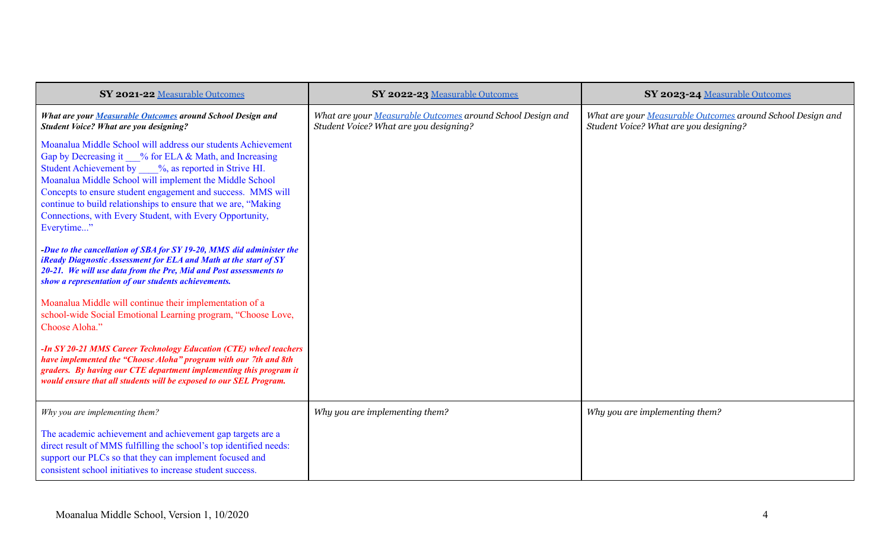| SY 2021-22 Measurable Outcomes                                                                                                                                                                                                                                                                                                                                                                                                                        | SY 2022-23 Measurable Outcomes                                                                       | SY 2023-24 Measurable Outcomes                                                                       |
|-------------------------------------------------------------------------------------------------------------------------------------------------------------------------------------------------------------------------------------------------------------------------------------------------------------------------------------------------------------------------------------------------------------------------------------------------------|------------------------------------------------------------------------------------------------------|------------------------------------------------------------------------------------------------------|
| What are your Measurable Outcomes around School Design and<br><b>Student Voice? What are you designing?</b>                                                                                                                                                                                                                                                                                                                                           | What are your Measurable Outcomes around School Design and<br>Student Voice? What are you designing? | What are your Measurable Outcomes around School Design and<br>Student Voice? What are you designing? |
| Moanalua Middle School will address our students Achievement<br>Gap by Decreasing it % for ELA & Math, and Increasing<br>Student Achievement by ___%, as reported in Strive HI.<br>Moanalua Middle School will implement the Middle School<br>Concepts to ensure student engagement and success. MMS will<br>continue to build relationships to ensure that we are, "Making<br>Connections, with Every Student, with Every Opportunity,<br>Everytime" |                                                                                                      |                                                                                                      |
| -Due to the cancellation of SBA for SY 19-20, MMS did administer the<br>iReady Diagnostic Assessment for ELA and Math at the start of SY<br>20-21. We will use data from the Pre, Mid and Post assessments to<br>show a representation of our students achievements.                                                                                                                                                                                  |                                                                                                      |                                                                                                      |
| Moanalua Middle will continue their implementation of a<br>school-wide Social Emotional Learning program, "Choose Love,<br>Choose Aloha."                                                                                                                                                                                                                                                                                                             |                                                                                                      |                                                                                                      |
| -In SY 20-21 MMS Career Technology Education (CTE) wheel teachers<br>have implemented the "Choose Aloha" program with our 7th and 8th<br>graders. By having our CTE department implementing this program it<br>would ensure that all students will be exposed to our SEL Program.                                                                                                                                                                     |                                                                                                      |                                                                                                      |
| Why you are implementing them?                                                                                                                                                                                                                                                                                                                                                                                                                        | Why you are implementing them?                                                                       | Why you are implementing them?                                                                       |
| The academic achievement and achievement gap targets are a<br>direct result of MMS fulfilling the school's top identified needs:<br>support our PLCs so that they can implement focused and<br>consistent school initiatives to increase student success.                                                                                                                                                                                             |                                                                                                      |                                                                                                      |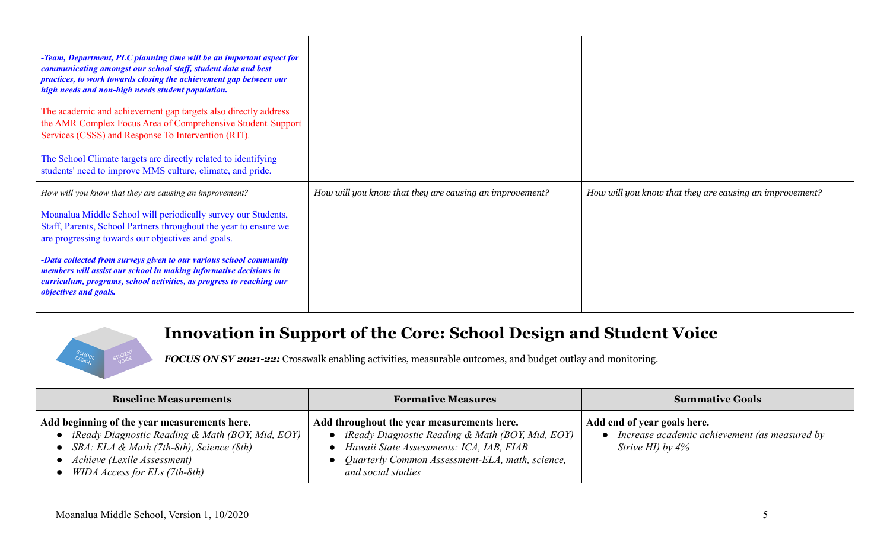| -Team, Department, PLC planning time will be an important aspect for<br>communicating amongst our school staff, student data and best<br>practices, to work towards closing the achievement gap between our<br>high needs and non-high needs student population.<br>The academic and achievement gap targets also directly address<br>the AMR Complex Focus Area of Comprehensive Student Support<br>Services (CSSS) and Response To Intervention (RTI).<br>The School Climate targets are directly related to identifying<br>students' need to improve MMS culture, climate, and pride. |                                                         |                                                         |
|------------------------------------------------------------------------------------------------------------------------------------------------------------------------------------------------------------------------------------------------------------------------------------------------------------------------------------------------------------------------------------------------------------------------------------------------------------------------------------------------------------------------------------------------------------------------------------------|---------------------------------------------------------|---------------------------------------------------------|
| How will you know that they are causing an improvement?<br>Moanalua Middle School will periodically survey our Students,                                                                                                                                                                                                                                                                                                                                                                                                                                                                 | How will you know that they are causing an improvement? | How will you know that they are causing an improvement? |
| Staff, Parents, School Partners throughout the year to ensure we<br>are progressing towards our objectives and goals.                                                                                                                                                                                                                                                                                                                                                                                                                                                                    |                                                         |                                                         |
| -Data collected from surveys given to our various school community<br>members will assist our school in making informative decisions in<br>curriculum, programs, school activities, as progress to reaching our<br><i>objectives and goals.</i>                                                                                                                                                                                                                                                                                                                                          |                                                         |                                                         |

## **Innovation in Support of the Core: School Design and Student Voice**

*FOCUS ON SY 2021-22:* Crosswalk enabling activities, measurable outcomes, and budget outlay and monitoring.

| <b>Baseline Measurements</b>                                                                                                                                                                                 | <b>Formative Measures</b>                                                                                                                                                                                           | <b>Summative Goals</b>                                                                           |  |  |
|--------------------------------------------------------------------------------------------------------------------------------------------------------------------------------------------------------------|---------------------------------------------------------------------------------------------------------------------------------------------------------------------------------------------------------------------|--------------------------------------------------------------------------------------------------|--|--|
| Add beginning of the year measurements here.<br>iReady Diagnostic Reading & Math (BOY, Mid, EOY)<br>SBA: ELA & Math (7th-8th), Science (8th)<br>Achieve (Lexile Assessment)<br>WIDA Access for ELs (7th-8th) | Add throughout the year measurements here.<br>iReady Diagnostic Reading & Math (BOY, Mid, EOY)<br>Hawaii State Assessments: ICA, IAB, FIAB<br>Quarterly Common Assessment-ELA, math, science,<br>and social studies | Add end of year goals here.<br>Increase academic achievement (as measured by<br>Strive HI) by 4% |  |  |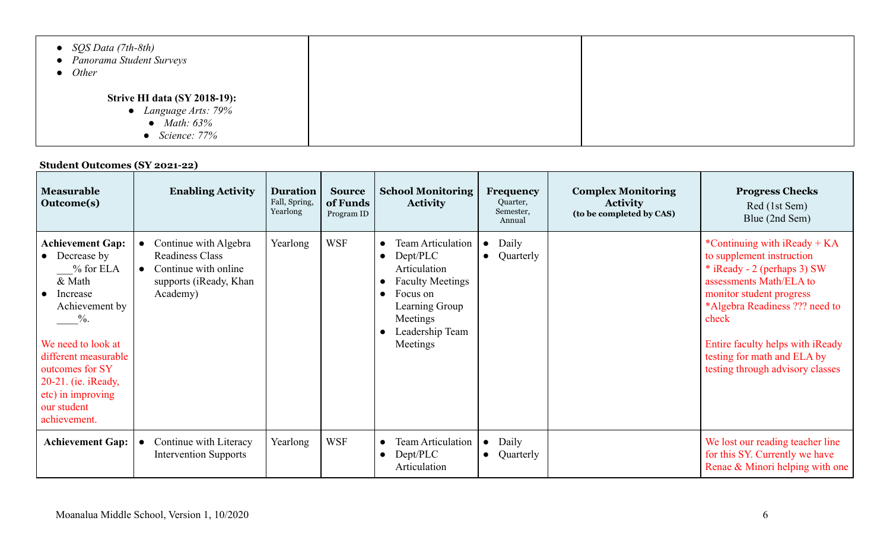| • $SQS Data (7th-8th)$<br>• Panorama Student Surveys<br>$\bullet$ Other                           |  |
|---------------------------------------------------------------------------------------------------|--|
| <b>Strive HI data (SY 2018-19):</b><br>• Language Arts: 79%<br>• Math: $63\%$<br>• Science: $77%$ |  |

### **Student Outcomes (SY 2021-22)**

| <b>Measurable</b><br><b>Outcome(s)</b>                                                                                                                                                                                                              | <b>Enabling Activity</b>                                                                                                   | <b>Duration</b><br>Fall, Spring,<br>Yearlong | <b>Source</b><br>of Funds<br>Program ID | <b>School Monitoring</b><br><b>Activity</b>                                                                                                                                        | <b>Frequency</b><br>Quarter,<br>Semester,<br>Annual | <b>Complex Monitoring</b><br><b>Activity</b><br>(to be completed by CAS) | <b>Progress Checks</b><br>Red (1st Sem)<br>Blue (2nd Sem)                                                                                                                                                                                                                                             |
|-----------------------------------------------------------------------------------------------------------------------------------------------------------------------------------------------------------------------------------------------------|----------------------------------------------------------------------------------------------------------------------------|----------------------------------------------|-----------------------------------------|------------------------------------------------------------------------------------------------------------------------------------------------------------------------------------|-----------------------------------------------------|--------------------------------------------------------------------------|-------------------------------------------------------------------------------------------------------------------------------------------------------------------------------------------------------------------------------------------------------------------------------------------------------|
| <b>Achievement Gap:</b><br>Decrease by<br>$%$ for ELA<br>& Math<br>Increase<br>Achievement by<br>$\%$ .<br>We need to look at<br>different measurable<br>outcomes for SY<br>20-21. (ie. iReady,<br>etc) in improving<br>our student<br>achievement. | Continue with Algebra<br><b>Readiness Class</b><br>Continue with online<br>$\bullet$<br>supports (iReady, Khan<br>Academy) | Yearlong                                     | <b>WSF</b>                              | <b>Team Articulation</b><br>Dept/PLC<br>$\bullet$<br>Articulation<br><b>Faculty Meetings</b><br>Focus on<br>$\bullet$<br>Learning Group<br>Meetings<br>Leadership Team<br>Meetings | Daily<br>$\bullet$<br>Quarterly<br>$\bullet$        |                                                                          | *Continuing with $iReady + KA$<br>to supplement instruction<br>$*$ iReady - 2 (perhaps 3) SW<br>assessments Math/ELA to<br>monitor student progress<br>*Algebra Readiness ??? need to<br>check<br>Entire faculty helps with iReady<br>testing for math and ELA by<br>testing through advisory classes |
| <b>Achievement Gap:</b>                                                                                                                                                                                                                             | Continue with Literacy<br><b>Intervention Supports</b>                                                                     | Yearlong                                     | <b>WSF</b>                              | <b>Team Articulation</b><br>$\bullet$<br>Dept/PLC<br>$\bullet$<br>Articulation                                                                                                     | Daily<br>$\bullet$<br>Quarterly<br>$\bullet$        |                                                                          | We lost our reading teacher line<br>for this SY. Currently we have<br>Renae & Minori helping with one                                                                                                                                                                                                 |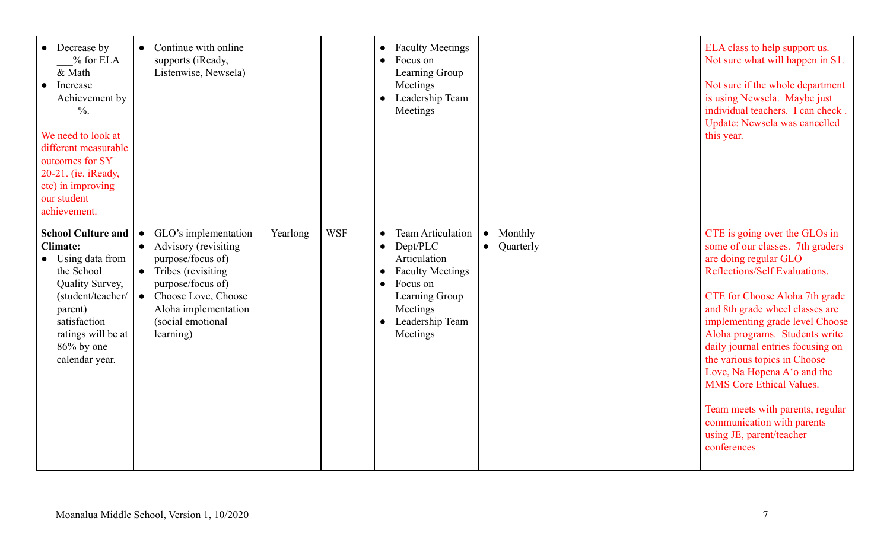| Decrease by<br>$\bullet$<br>$%$ for ELA<br>& Math<br>Increase<br>Achievement by<br>$\frac{0}{2}$ .<br>We need to look at<br>different measurable<br>outcomes for SY<br>20-21. (ie. iReady,<br>etc) in improving<br>our student<br>achievement. | Continue with online<br>$\bullet$<br>supports (iReady,<br>Listenwise, Newsela)                                                                                                                                       |          |            | <b>Faculty Meetings</b><br>$\bullet$<br>Focus on<br>$\bullet$<br>Learning Group<br>Meetings<br>Leadership Team<br>Meetings                                                                                                |                                   | ELA class to help support us.<br>Not sure what will happen in S1.<br>Not sure if the whole department<br>is using Newsela. Maybe just<br>individual teachers. I can check.<br>Update: Newsela was cancelled<br>this year.                                                                                                                                                                                                                                                                                                 |
|------------------------------------------------------------------------------------------------------------------------------------------------------------------------------------------------------------------------------------------------|----------------------------------------------------------------------------------------------------------------------------------------------------------------------------------------------------------------------|----------|------------|---------------------------------------------------------------------------------------------------------------------------------------------------------------------------------------------------------------------------|-----------------------------------|---------------------------------------------------------------------------------------------------------------------------------------------------------------------------------------------------------------------------------------------------------------------------------------------------------------------------------------------------------------------------------------------------------------------------------------------------------------------------------------------------------------------------|
| <b>School Culture and</b><br><b>Climate:</b><br>Using data from<br>the School<br>Quality Survey,<br>(student/teacher/<br>parent)<br>satisfaction<br>ratings will be at<br>$86\%$ by one<br>calendar year.                                      | GLO's implementation<br>Advisory (revisiting<br>$\bullet$<br>purpose/focus of)<br>$\bullet$ Tribes (revisiting<br>purpose/focus of)<br>Choose Love, Choose<br>Aloha implementation<br>(social emotional<br>learning) | Yearlong | <b>WSF</b> | <b>Team Articulation</b><br>$\bullet$<br>Dept/PLC<br>$\bullet$<br>Articulation<br><b>Faculty Meetings</b><br>$\bullet$<br>Focus on<br>$\bullet$<br>Learning Group<br>Meetings<br>Leadership Team<br>$\bullet$<br>Meetings | Monthly<br>Quarterly<br>$\bullet$ | CTE is going over the GLOs in<br>some of our classes. 7th graders<br>are doing regular GLO<br>Reflections/Self Evaluations.<br>CTE for Choose Aloha 7th grade<br>and 8th grade wheel classes are<br>implementing grade level Choose<br>Aloha programs. Students write<br>daily journal entries focusing on<br>the various topics in Choose<br>Love, Na Hopena A'o and the<br><b>MMS</b> Core Ethical Values.<br>Team meets with parents, regular<br>communication with parents<br>using JE, parent/teacher<br>conferences |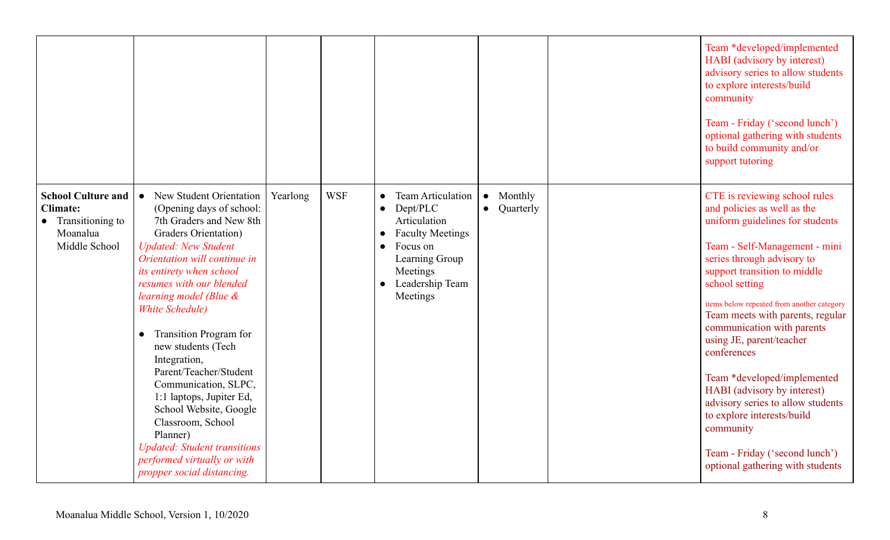|                                                                                                 |                                                                                                                                                                                                                                                                                                                                                                                                                                                                                                                                                                                                                                  |          |            |                                                                                                                                                                                          |                                                | Team *developed/implemented<br><b>HABI</b> (advisory by interest)<br>advisory series to allow students<br>to explore interests/build<br>community<br>Team - Friday ('second lunch')<br>optional gathering with students<br>to build community and/or<br>support tutoring                                                                                                                                                                                                                                                                                                                        |
|-------------------------------------------------------------------------------------------------|----------------------------------------------------------------------------------------------------------------------------------------------------------------------------------------------------------------------------------------------------------------------------------------------------------------------------------------------------------------------------------------------------------------------------------------------------------------------------------------------------------------------------------------------------------------------------------------------------------------------------------|----------|------------|------------------------------------------------------------------------------------------------------------------------------------------------------------------------------------------|------------------------------------------------|-------------------------------------------------------------------------------------------------------------------------------------------------------------------------------------------------------------------------------------------------------------------------------------------------------------------------------------------------------------------------------------------------------------------------------------------------------------------------------------------------------------------------------------------------------------------------------------------------|
| <b>School Culture and</b><br><b>Climate:</b><br>• Transitioning to<br>Moanalua<br>Middle School | New Student Orientation<br>$\bullet$<br>(Opening days of school:<br>7th Graders and New 8th<br>Graders Orientation)<br><b>Updated: New Student</b><br>Orientation will continue in<br>its entirety when school<br>resumes with our blended<br>learning model (Blue &<br><b>White Schedule</b> )<br><b>Transition Program for</b><br>$\bullet$<br>new students (Tech<br>Integration,<br>Parent/Teacher/Student<br>Communication, SLPC,<br>1:1 laptops, Jupiter Ed,<br>School Website, Google<br>Classroom, School<br>Planner)<br><b>Updated: Student transitions</b><br>performed virtually or with<br>propper social distancing. | Yearlong | <b>WSF</b> | Team Articulation<br>Dept/PLC<br>$\bullet$<br>Articulation<br><b>Faculty Meetings</b><br>Focus on<br>$\bullet$<br>Learning Group<br>Meetings<br>Leadership Team<br>$\bullet$<br>Meetings | Monthly<br>$\bullet$<br>Quarterly<br>$\bullet$ | CTE is reviewing school rules<br>and policies as well as the<br>uniform guidelines for students<br>Team - Self-Management - mini<br>series through advisory to<br>support transition to middle<br>school setting<br>items below repeated from another category<br>Team meets with parents, regular<br>communication with parents<br>using JE, parent/teacher<br>conferences<br>Team *developed/implemented<br>HABI (advisory by interest)<br>advisory series to allow students<br>to explore interests/build<br>community<br>Team - Friday ('second lunch')<br>optional gathering with students |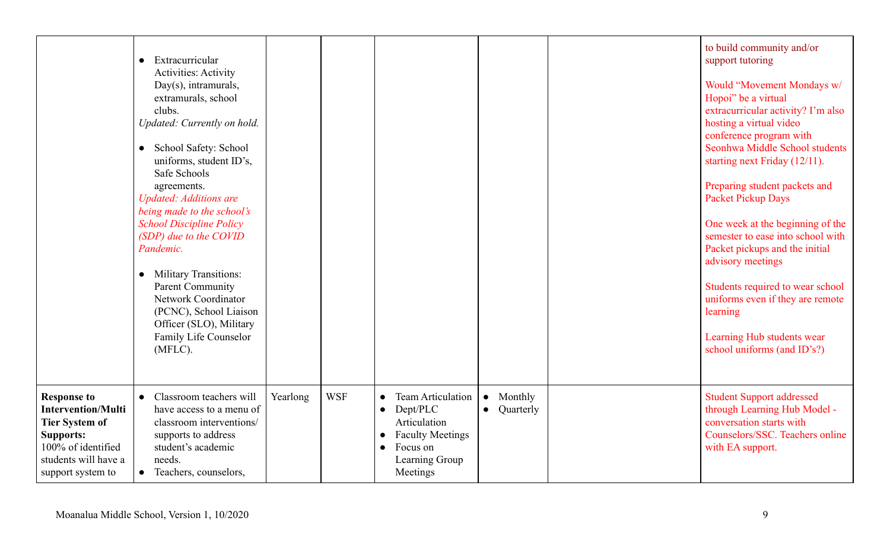|                                                                                                                                                                 | Extracurricular<br>$\bullet$<br><b>Activities: Activity</b><br>Day(s), intramurals,<br>extramurals, school<br>clubs.<br>Updated: Currently on hold.<br>School Safety: School<br>$\bullet$<br>uniforms, student ID's,<br>Safe Schools<br>agreements.<br><b>Updated: Additions are</b><br>being made to the school's<br><b>School Discipline Policy</b><br>(SDP) due to the COVID<br>Pandemic.<br><b>Military Transitions:</b><br>$\bullet$<br><b>Parent Community</b><br>Network Coordinator<br>(PCNC), School Liaison<br>Officer (SLO), Military<br>Family Life Counselor<br>(MFLC). |          |            |                                                                                                                                                                  |                                     | to build community and/or<br>support tutoring<br>Would "Movement Mondays w/<br>Hopoi" be a virtual<br>extracurricular activity? I'm also<br>hosting a virtual video<br>conference program with<br>Seonhwa Middle School students<br>starting next Friday (12/11).<br>Preparing student packets and<br><b>Packet Pickup Days</b><br>One week at the beginning of the<br>semester to ease into school with<br>Packet pickups and the initial<br>advisory meetings<br>Students required to wear school<br>uniforms even if they are remote<br>learning<br>Learning Hub students wear<br>school uniforms (and ID's?) |
|-----------------------------------------------------------------------------------------------------------------------------------------------------------------|--------------------------------------------------------------------------------------------------------------------------------------------------------------------------------------------------------------------------------------------------------------------------------------------------------------------------------------------------------------------------------------------------------------------------------------------------------------------------------------------------------------------------------------------------------------------------------------|----------|------------|------------------------------------------------------------------------------------------------------------------------------------------------------------------|-------------------------------------|------------------------------------------------------------------------------------------------------------------------------------------------------------------------------------------------------------------------------------------------------------------------------------------------------------------------------------------------------------------------------------------------------------------------------------------------------------------------------------------------------------------------------------------------------------------------------------------------------------------|
| <b>Response to</b><br><b>Intervention/Multi</b><br><b>Tier System of</b><br><b>Supports:</b><br>100% of identified<br>students will have a<br>support system to | Classroom teachers will<br>$\bullet$<br>have access to a menu of<br>classroom interventions/<br>supports to address<br>student's academic<br>needs.<br>Teachers, counselors,<br>$\bullet$                                                                                                                                                                                                                                                                                                                                                                                            | Yearlong | <b>WSF</b> | <b>Team Articulation</b><br>$\bullet$<br>Dept/PLC<br>$\bullet$<br>Articulation<br><b>Faculty Meetings</b><br>$\bullet$<br>Focus on<br>Learning Group<br>Meetings | Monthly<br>$\bullet$<br>• Quarterly | <b>Student Support addressed</b><br>through Learning Hub Model -<br>conversation starts with<br>Counselors/SSC. Teachers online<br>with EA support.                                                                                                                                                                                                                                                                                                                                                                                                                                                              |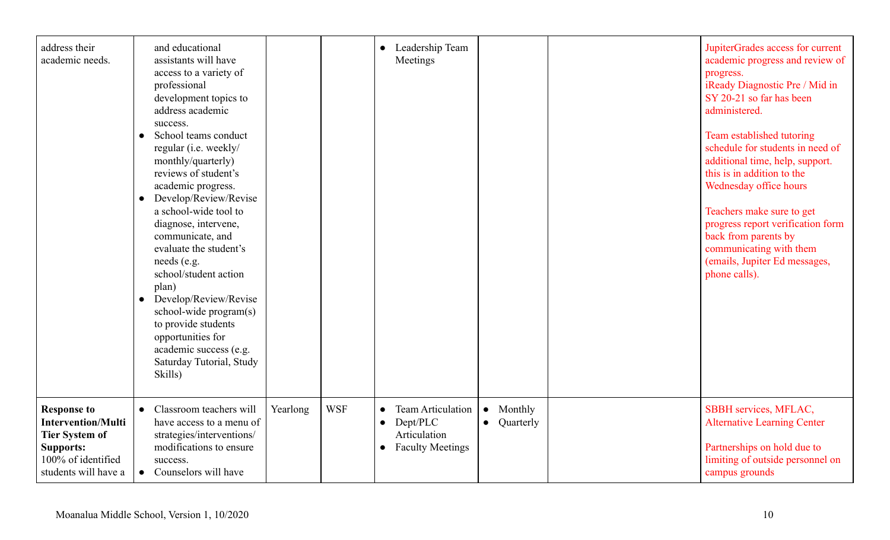| address their<br>academic needs.                                                                                                           | and educational<br>assistants will have<br>access to a variety of<br>professional<br>development topics to<br>address academic<br>success.<br>School teams conduct<br>regular (i.e. weekly/<br>monthly/quarterly)<br>reviews of student's<br>academic progress.<br>Develop/Review/Revise<br>$\bullet$<br>a school-wide tool to<br>diagnose, intervene,<br>communicate, and<br>evaluate the student's<br>needs (e.g.<br>school/student action<br>plan)<br>• Develop/Review/Revise<br>school-wide program(s)<br>to provide students<br>opportunities for<br>academic success (e.g.<br>Saturday Tutorial, Study<br>Skills) |          |            | Leadership Team<br>$\bullet$<br>Meetings                                                                               |                                                | JupiterGrades access for current<br>academic progress and review of<br>progress.<br>iReady Diagnostic Pre / Mid in<br>SY 20-21 so far has been<br>administered.<br>Team established tutoring<br>schedule for students in need of<br>additional time, help, support.<br>this is in addition to the<br>Wednesday office hours<br>Teachers make sure to get<br>progress report verification form<br>back from parents by<br>communicating with them<br>(emails, Jupiter Ed messages,<br>phone calls). |
|--------------------------------------------------------------------------------------------------------------------------------------------|-------------------------------------------------------------------------------------------------------------------------------------------------------------------------------------------------------------------------------------------------------------------------------------------------------------------------------------------------------------------------------------------------------------------------------------------------------------------------------------------------------------------------------------------------------------------------------------------------------------------------|----------|------------|------------------------------------------------------------------------------------------------------------------------|------------------------------------------------|----------------------------------------------------------------------------------------------------------------------------------------------------------------------------------------------------------------------------------------------------------------------------------------------------------------------------------------------------------------------------------------------------------------------------------------------------------------------------------------------------|
| <b>Response to</b><br><b>Intervention/Multi</b><br><b>Tier System of</b><br><b>Supports:</b><br>100% of identified<br>students will have a | • Classroom teachers will<br>have access to a menu of<br>strategies/interventions/<br>modifications to ensure<br>success.<br>• Counselors will have                                                                                                                                                                                                                                                                                                                                                                                                                                                                     | Yearlong | <b>WSF</b> | <b>Team Articulation</b><br>$\bullet$<br>Dept/PLC<br>$\bullet$<br>Articulation<br><b>Faculty Meetings</b><br>$\bullet$ | Monthly<br>$\bullet$<br>Quarterly<br>$\bullet$ | SBBH services, MFLAC,<br><b>Alternative Learning Center</b><br>Partnerships on hold due to<br>limiting of outside personnel on<br>campus grounds                                                                                                                                                                                                                                                                                                                                                   |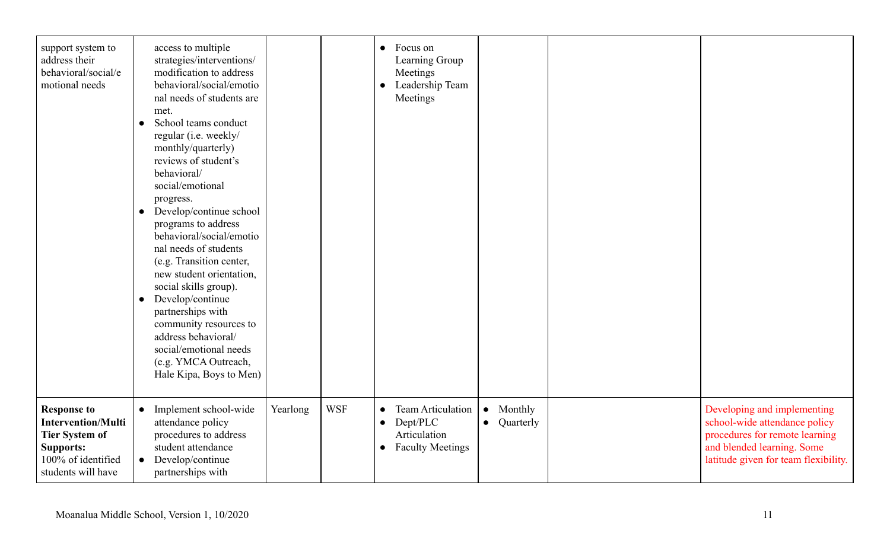| support system to<br>address their<br>behavioral/social/e<br>motional needs                                                              | access to multiple<br>strategies/interventions/<br>modification to address<br>behavioral/social/emotio<br>nal needs of students are<br>met.<br>School teams conduct<br>$\bullet$<br>regular (i.e. weekly/<br>monthly/quarterly)<br>reviews of student's<br>behavioral/<br>social/emotional<br>progress.<br>Develop/continue school<br>$\bullet$<br>programs to address<br>behavioral/social/emotio<br>nal needs of students<br>(e.g. Transition center,<br>new student orientation,<br>social skills group).<br>Develop/continue<br>$\bullet$<br>partnerships with<br>community resources to<br>address behavioral/<br>social/emotional needs<br>(e.g. YMCA Outreach,<br>Hale Kipa, Boys to Men) |          |            | Focus on<br>$\bullet$<br>Learning Group<br>Meetings<br>Leadership Team<br>Meetings                              |                                                |                                                                                                                                                                      |
|------------------------------------------------------------------------------------------------------------------------------------------|--------------------------------------------------------------------------------------------------------------------------------------------------------------------------------------------------------------------------------------------------------------------------------------------------------------------------------------------------------------------------------------------------------------------------------------------------------------------------------------------------------------------------------------------------------------------------------------------------------------------------------------------------------------------------------------------------|----------|------------|-----------------------------------------------------------------------------------------------------------------|------------------------------------------------|----------------------------------------------------------------------------------------------------------------------------------------------------------------------|
| <b>Response to</b><br><b>Intervention/Multi</b><br><b>Tier System of</b><br><b>Supports:</b><br>100% of identified<br>students will have | Implement school-wide<br>$\bullet$<br>attendance policy<br>procedures to address<br>student attendance<br>Develop/continue<br>partnerships with                                                                                                                                                                                                                                                                                                                                                                                                                                                                                                                                                  | Yearlong | <b>WSF</b> | Team Articulation<br>$\bullet$<br>Dept/PLC<br>$\bullet$<br>Articulation<br><b>Faculty Meetings</b><br>$\bullet$ | $\bullet$<br>Monthly<br>Quarterly<br>$\bullet$ | Developing and implementing<br>school-wide attendance policy<br>procedures for remote learning<br>and blended learning. Some<br>latitude given for team flexibility. |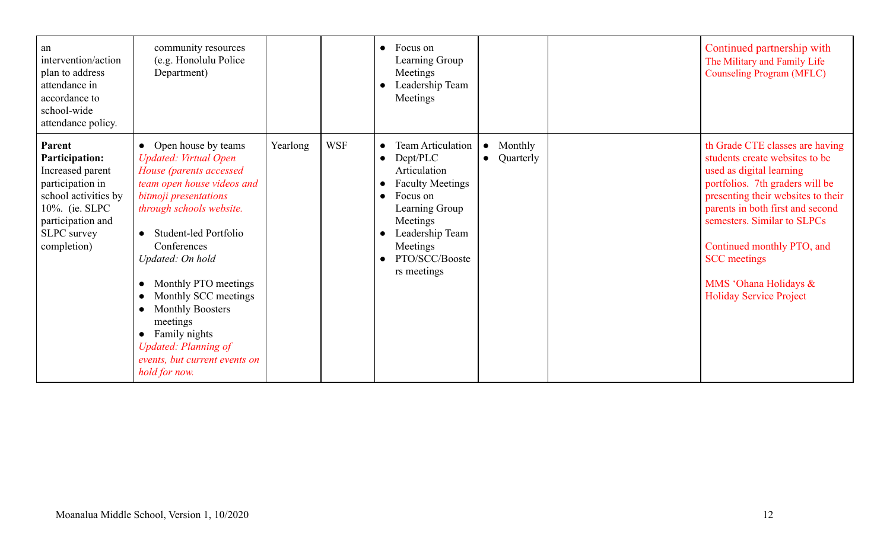| an<br>intervention/action<br>plan to address<br>attendance in<br>accordance to<br>school-wide<br>attendance policy.                                                          | community resources<br>(e.g. Honolulu Police<br>Department)                                                                                                                                                                                                                                                                                                                                                                                                                                   |          |            | Focus on<br>$\bullet$<br>Learning Group<br>Meetings<br>Leadership Team<br>Meetings                                                                                                                                               |                                                | Continued partnership with<br>The Military and Family Life<br><b>Counseling Program (MFLC)</b>                                                                                                                                                                                                                                                            |
|------------------------------------------------------------------------------------------------------------------------------------------------------------------------------|-----------------------------------------------------------------------------------------------------------------------------------------------------------------------------------------------------------------------------------------------------------------------------------------------------------------------------------------------------------------------------------------------------------------------------------------------------------------------------------------------|----------|------------|----------------------------------------------------------------------------------------------------------------------------------------------------------------------------------------------------------------------------------|------------------------------------------------|-----------------------------------------------------------------------------------------------------------------------------------------------------------------------------------------------------------------------------------------------------------------------------------------------------------------------------------------------------------|
| Parent<br><b>Participation:</b><br>Increased parent<br>participation in<br>school activities by<br>10%. (ie. SLPC)<br>participation and<br><b>SLPC</b> survey<br>completion) | Open house by teams<br>$\bullet$<br><b>Updated: Virtual Open</b><br>House (parents accessed<br>team open house videos and<br>bitmoji presentations<br>through schools website.<br>Student-led Portfolio<br>$\bullet$<br>Conferences<br>Updated: On hold<br>Monthly PTO meetings<br>$\bullet$<br>Monthly SCC meetings<br>$\bullet$<br>Monthly Boosters<br>$\bullet$<br>meetings<br>Family nights<br>$\bullet$<br><b>Updated: Planning of</b><br>events, but current events on<br>hold for now. | Yearlong | <b>WSF</b> | <b>Team Articulation</b><br>$\bullet$<br>Dept/PLC<br>$\bullet$<br>Articulation<br><b>Faculty Meetings</b><br>Focus on<br>$\bullet$<br>Learning Group<br>Meetings<br>Leadership Team<br>Meetings<br>PTO/SCC/Booste<br>rs meetings | Monthly<br>$\bullet$<br>Quarterly<br>$\bullet$ | th Grade CTE classes are having<br>students create websites to be<br>used as digital learning<br>portfolios. 7th graders will be<br>presenting their websites to their<br>parents in both first and second<br>semesters. Similar to SLPCs<br>Continued monthly PTO, and<br><b>SCC</b> meetings<br>MMS 'Ohana Holidays &<br><b>Holiday Service Project</b> |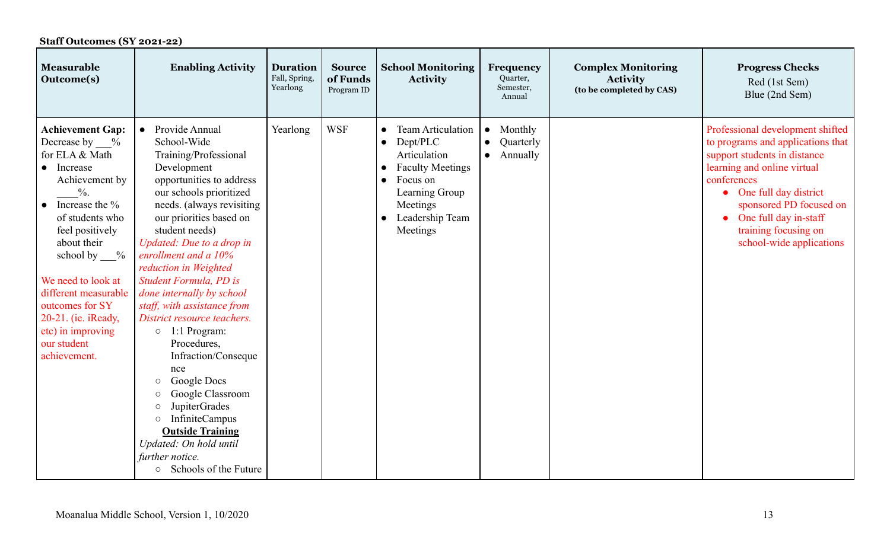| <b>Staff Outcomes (SY 2021-22)</b>                                                                                                                                                                                                                                                                                                                                  |                                                                                                                                                                                                                                                                                                                                                                                                                                                                                                                                                                                                                                                                                                                                  |                                              |                                         |                                                                                                                                                                                                 |                                                                         |                                                                          |                                                                                                                                                                                                                                                                                        |
|---------------------------------------------------------------------------------------------------------------------------------------------------------------------------------------------------------------------------------------------------------------------------------------------------------------------------------------------------------------------|----------------------------------------------------------------------------------------------------------------------------------------------------------------------------------------------------------------------------------------------------------------------------------------------------------------------------------------------------------------------------------------------------------------------------------------------------------------------------------------------------------------------------------------------------------------------------------------------------------------------------------------------------------------------------------------------------------------------------------|----------------------------------------------|-----------------------------------------|-------------------------------------------------------------------------------------------------------------------------------------------------------------------------------------------------|-------------------------------------------------------------------------|--------------------------------------------------------------------------|----------------------------------------------------------------------------------------------------------------------------------------------------------------------------------------------------------------------------------------------------------------------------------------|
| <b>Measurable</b><br>Outcome(s)                                                                                                                                                                                                                                                                                                                                     | <b>Enabling Activity</b>                                                                                                                                                                                                                                                                                                                                                                                                                                                                                                                                                                                                                                                                                                         | <b>Duration</b><br>Fall, Spring,<br>Yearlong | <b>Source</b><br>of Funds<br>Program ID | <b>School Monitoring</b><br>Activity                                                                                                                                                            | Frequency<br>Quarter,<br>Semester,<br>Annual                            | <b>Complex Monitoring</b><br><b>Activity</b><br>(to be completed by CAS) | <b>Progress Checks</b><br>Red (1st Sem)<br>Blue (2nd Sem)                                                                                                                                                                                                                              |
| <b>Achievement Gap:</b><br>Decrease by %<br>for ELA & Math<br>• Increase<br>Achievement by<br>$\frac{0}{6}$ .<br>Increase the %<br>$\bullet$<br>of students who<br>feel positively<br>about their<br>school by $\_\_\%$<br>We need to look at<br>different measurable<br>outcomes for SY<br>20-21. (ie. iReady,<br>etc) in improving<br>our student<br>achievement. | Provide Annual<br>School-Wide<br>Training/Professional<br>Development<br>opportunities to address<br>our schools prioritized<br>needs. (always revisiting<br>our priorities based on<br>student needs)<br>Updated: Due to a drop in<br>enrollment and a 10%<br>reduction in Weighted<br>Student Formula, PD is<br>done internally by school<br>staff, with assistance from<br>District resource teachers.<br>$\circ$ 1:1 Program:<br>Procedures,<br>Infraction/Conseque<br>nce<br>Google Docs<br>$\circ$<br>Google Classroom<br>$\circlearrowright$<br><b>JupiterGrades</b><br>$\bigcirc$<br><b>InfiniteCampus</b><br>$\circ$<br><b>Outside Training</b><br>Updated: On hold until<br>further notice.<br>○ Schools of the Future | Yearlong                                     | <b>WSF</b>                              | <b>Team Articulation</b><br>$\bullet$<br>Dept/PLC<br>$\bullet$<br>Articulation<br><b>Faculty Meetings</b><br>$\bullet$<br>Focus on<br>Learning Group<br>Meetings<br>Leadership Team<br>Meetings | Monthly<br>$\bullet$<br>Quarterly<br>$\bullet$<br>Annually<br>$\bullet$ |                                                                          | Professional development shifted<br>to programs and applications that<br>support students in distance<br>learning and online virtual<br>conferences<br>• One full day district<br>sponsored PD focused on<br>One full day in-staff<br>training focusing on<br>school-wide applications |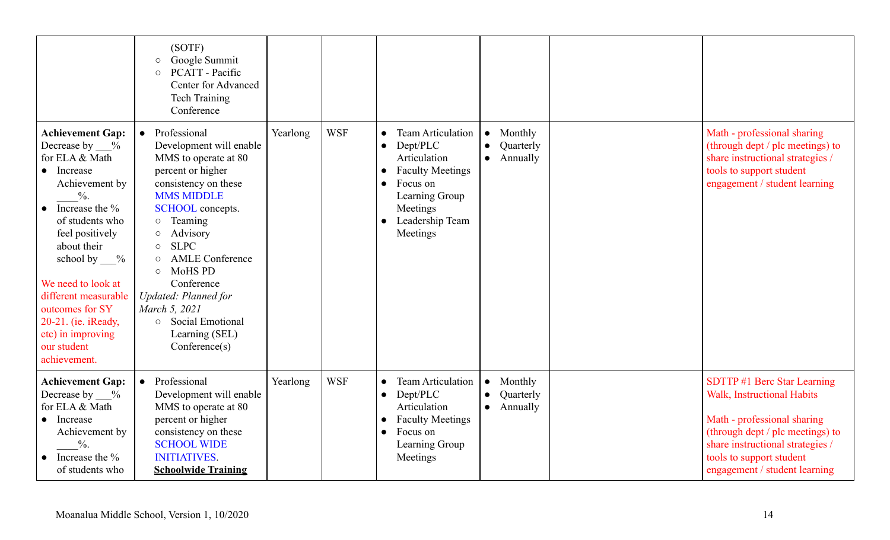|                                                                                                                                                                                                                                                                                                                                                       | (SOTF)<br>Google Summit<br>$\circ$<br>PCATT - Pacific<br>$\circ$<br>Center for Advanced<br><b>Tech Training</b><br>Conference                                                                                                                                                                                                                                                                                                  |          |            |                                                                                                                                                                                                 |                                                                         |                                                                                                                                                                                                                                      |
|-------------------------------------------------------------------------------------------------------------------------------------------------------------------------------------------------------------------------------------------------------------------------------------------------------------------------------------------------------|--------------------------------------------------------------------------------------------------------------------------------------------------------------------------------------------------------------------------------------------------------------------------------------------------------------------------------------------------------------------------------------------------------------------------------|----------|------------|-------------------------------------------------------------------------------------------------------------------------------------------------------------------------------------------------|-------------------------------------------------------------------------|--------------------------------------------------------------------------------------------------------------------------------------------------------------------------------------------------------------------------------------|
| <b>Achievement Gap:</b><br>Decrease by $\%$<br>for ELA & Math<br>• Increase<br>Achievement by<br>$\frac{0}{6}$ .<br>Increase the %<br>of students who<br>feel positively<br>about their<br>school by $\%$<br>We need to look at<br>different measurable<br>outcomes for SY<br>20-21. (ie. iReady,<br>etc) in improving<br>our student<br>achievement. | Professional<br>Development will enable<br>MMS to operate at 80<br>percent or higher<br>consistency on these<br><b>MMS MIDDLE</b><br>SCHOOL concepts.<br>Teaming<br>$\circ$<br>Advisory<br>$\circ$<br><b>SLPC</b><br>$\circ$<br><b>AMLE Conference</b><br>$\circ$<br><b>MoHS PD</b><br>$\circ$<br>Conference<br><b>Updated: Planned for</b><br>March 5, 2021<br>Social Emotional<br>$\circ$<br>Learning (SEL)<br>Conference(s) | Yearlong | <b>WSF</b> | <b>Team Articulation</b><br>$\bullet$<br>Dept/PLC<br>$\bullet$<br>Articulation<br><b>Faculty Meetings</b><br>Focus on<br>Learning Group<br>Meetings<br>Leadership Team<br>$\bullet$<br>Meetings | Monthly<br>$\bullet$<br>Quarterly<br>$\bullet$<br>Annually<br>$\bullet$ | Math - professional sharing<br>(through dept / plc meetings) to<br>share instructional strategies /<br>tools to support student<br>engagement / student learning                                                                     |
| <b>Achievement Gap:</b><br>Decrease by $\%$<br>for ELA & Math<br>• Increase<br>Achievement by<br>$\frac{0}{6}$ .<br>Increase the %<br>of students who                                                                                                                                                                                                 | Professional<br>$\bullet$<br>Development will enable<br>MMS to operate at 80<br>percent or higher<br>consistency on these<br><b>SCHOOL WIDE</b><br><b>INITIATIVES.</b><br><b>Schoolwide Training</b>                                                                                                                                                                                                                           | Yearlong | <b>WSF</b> | <b>Team Articulation</b><br>$\bullet$<br>Dept/PLC<br>$\bullet$<br>Articulation<br><b>Faculty Meetings</b><br>Focus on<br>$\bullet$<br>Learning Group<br>Meetings                                | Monthly<br>$\bullet$<br>Quarterly<br>$\bullet$<br>Annually<br>$\bullet$ | SDTTP #1 Berc Star Learning<br><b>Walk, Instructional Habits</b><br>Math - professional sharing<br>(through dept / plc meetings) to<br>share instructional strategies /<br>tools to support student<br>engagement / student learning |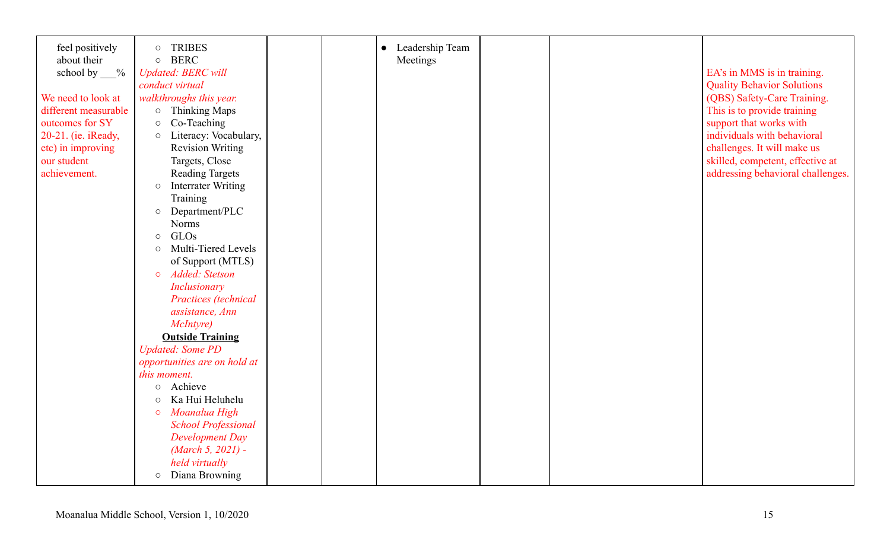| feel positively<br>about their | <b>TRIBES</b><br>$\circ$<br>$\circ$ BERC |  | Leadership Team<br>$\bullet$<br>Meetings |  |                                   |
|--------------------------------|------------------------------------------|--|------------------------------------------|--|-----------------------------------|
| school by $\_\_\%$             | <b>Updated: BERC will</b>                |  |                                          |  | EA's in MMS is in training.       |
|                                | conduct virtual                          |  |                                          |  | <b>Quality Behavior Solutions</b> |
| We need to look at             | walkthroughs this year.                  |  |                                          |  | (QBS) Safety-Care Training.       |
| different measurable           | <b>Thinking Maps</b><br>$\circ$          |  |                                          |  | This is to provide training       |
| outcomes for SY                | Co-Teaching<br>$\bigcirc$                |  |                                          |  | support that works with           |
| 20-21. (ie. iReady,            | O Literacy: Vocabulary,                  |  |                                          |  | individuals with behavioral       |
| etc) in improving              | <b>Revision Writing</b>                  |  |                                          |  | challenges. It will make us       |
| our student                    | Targets, Close                           |  |                                          |  | skilled, competent, effective at  |
| achievement.                   | <b>Reading Targets</b>                   |  |                                          |  | addressing behavioral challenges. |
|                                | <b>Interrater Writing</b><br>$\circ$     |  |                                          |  |                                   |
|                                | Training                                 |  |                                          |  |                                   |
|                                | O Department/PLC                         |  |                                          |  |                                   |
|                                | <b>Norms</b>                             |  |                                          |  |                                   |
|                                | GLOs<br>$\circ$                          |  |                                          |  |                                   |
|                                | Multi-Tiered Levels<br>$\circ$           |  |                                          |  |                                   |
|                                | of Support (MTLS)                        |  |                                          |  |                                   |
|                                | Added: Stetson<br>$\circ$                |  |                                          |  |                                   |
|                                | Inclusionary                             |  |                                          |  |                                   |
|                                | Practices (technical                     |  |                                          |  |                                   |
|                                | assistance, Ann                          |  |                                          |  |                                   |
|                                | McIntyre)                                |  |                                          |  |                                   |
|                                | <b>Outside Training</b>                  |  |                                          |  |                                   |
|                                | <b>Updated: Some PD</b>                  |  |                                          |  |                                   |
|                                | opportunities are on hold at             |  |                                          |  |                                   |
|                                | this moment.                             |  |                                          |  |                                   |
|                                | Achieve<br>$\circ$                       |  |                                          |  |                                   |
|                                | Ka Hui Heluhelu<br>$\circ$               |  |                                          |  |                                   |
|                                | Moanalua High<br>$\circ$                 |  |                                          |  |                                   |
|                                | <b>School Professional</b>               |  |                                          |  |                                   |
|                                | Development Day                          |  |                                          |  |                                   |
|                                | (March 5, 2021) -                        |  |                                          |  |                                   |
|                                | held virtually                           |  |                                          |  |                                   |
|                                | O Diana Browning                         |  |                                          |  |                                   |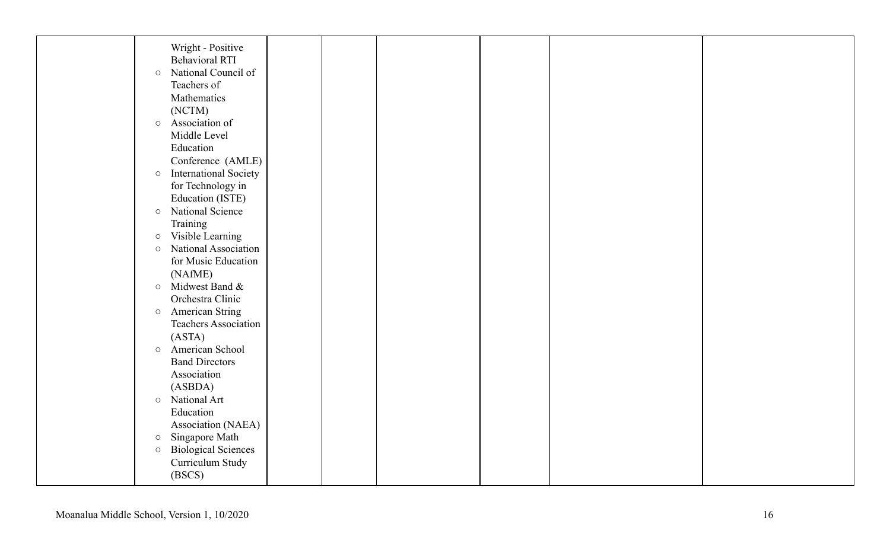| Wright - Positive                           |  |  |  |
|---------------------------------------------|--|--|--|
| <b>Behavioral RTI</b>                       |  |  |  |
| National Council of<br>$\bigcirc$           |  |  |  |
| Teachers of                                 |  |  |  |
| Mathematics                                 |  |  |  |
| (NCTM)                                      |  |  |  |
| o Association of                            |  |  |  |
| Middle Level                                |  |  |  |
| Education                                   |  |  |  |
| Conference (AMLE)                           |  |  |  |
| <b>International Society</b><br>$\bigcirc$  |  |  |  |
| for Technology in                           |  |  |  |
| Education (ISTE)                            |  |  |  |
| National Science<br>$\circ$                 |  |  |  |
| Training                                    |  |  |  |
| Visible Learning<br>$\bigcirc$              |  |  |  |
| National Association<br>$\circlearrowright$ |  |  |  |
| for Music Education                         |  |  |  |
| (NAfME)                                     |  |  |  |
| Midwest Band &<br>$\circ$                   |  |  |  |
| Orchestra Clinic                            |  |  |  |
| <b>American String</b><br>$\circ$           |  |  |  |
| Teachers Association                        |  |  |  |
| (ASTA)                                      |  |  |  |
| American School<br>$\circ$                  |  |  |  |
| <b>Band Directors</b>                       |  |  |  |
| Association                                 |  |  |  |
| (ASBDA)                                     |  |  |  |
| National Art<br>$\circ$                     |  |  |  |
| Education                                   |  |  |  |
| Association (NAEA)                          |  |  |  |
| Singapore Math<br>$\bigcirc$                |  |  |  |
| <b>Biological Sciences</b><br>$\bigcirc$    |  |  |  |
| Curriculum Study                            |  |  |  |
| (BSCS)                                      |  |  |  |
|                                             |  |  |  |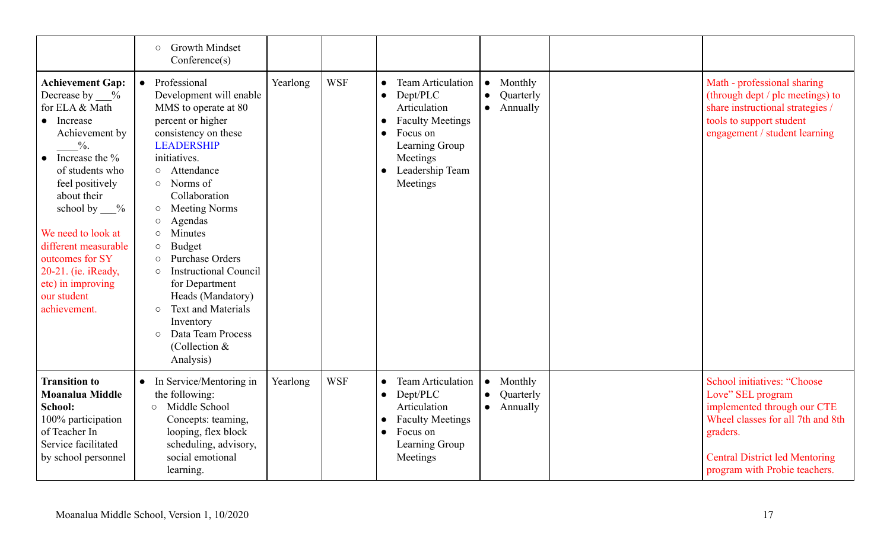|                                                                                                                                                                                                                                                                                                                                                                        | <b>Growth Mindset</b><br>$\circ$<br>Conference(s)                                                                                                                                                                                                                                                                                                                                                                                                                                                                                                                                     |          |            |                                                                                                                                                                                                 |                                                            |                                                                                                                                                                                                                   |
|------------------------------------------------------------------------------------------------------------------------------------------------------------------------------------------------------------------------------------------------------------------------------------------------------------------------------------------------------------------------|---------------------------------------------------------------------------------------------------------------------------------------------------------------------------------------------------------------------------------------------------------------------------------------------------------------------------------------------------------------------------------------------------------------------------------------------------------------------------------------------------------------------------------------------------------------------------------------|----------|------------|-------------------------------------------------------------------------------------------------------------------------------------------------------------------------------------------------|------------------------------------------------------------|-------------------------------------------------------------------------------------------------------------------------------------------------------------------------------------------------------------------|
| <b>Achievement Gap:</b><br>Decrease by %<br>for ELA & Math<br>Increase<br>$\bullet$<br>Achievement by<br>$\frac{0}{6}$ .<br>Increase the %<br>of students who<br>feel positively<br>about their<br>school by $\frac{9}{6}$<br>We need to look at<br>different measurable<br>outcomes for SY<br>20-21. (ie. iReady,<br>etc) in improving<br>our student<br>achievement. | Professional<br>Development will enable<br>MMS to operate at 80<br>percent or higher<br>consistency on these<br><b>LEADERSHIP</b><br>initiatives.<br>Attendance<br>$\circ$<br>Norms of<br>$\circ$<br>Collaboration<br><b>Meeting Norms</b><br>$\circ$<br>Agendas<br>$\circlearrowright$<br>Minutes<br>$\circ$<br><b>Budget</b><br>$\circ$<br><b>Purchase Orders</b><br>$\circ$<br><b>Instructional Council</b><br>$\circ$<br>for Department<br>Heads (Mandatory)<br><b>Text and Materials</b><br>$\circ$<br>Inventory<br>Data Team Process<br>$\circ$<br>(Collection $&$<br>Analysis) | Yearlong | <b>WSF</b> | <b>Team Articulation</b><br>$\bullet$<br>Dept/PLC<br>$\bullet$<br>Articulation<br><b>Faculty Meetings</b><br>Focus on<br>$\bullet$<br>Learning Group<br>Meetings<br>Leadership Team<br>Meetings | Monthly<br>$\bullet$<br>Quarterly<br>Annually<br>$\bullet$ | Math - professional sharing<br>(through dept / plc meetings) to<br>share instructional strategies /<br>tools to support student<br>engagement / student learning                                                  |
| <b>Transition to</b><br><b>Moanalua Middle</b><br>School:<br>100% participation<br>of Teacher In<br>Service facilitated<br>by school personnel                                                                                                                                                                                                                         | In Service/Mentoring in<br>the following:<br>Middle School<br>$\Omega$<br>Concepts: teaming,<br>looping, flex block<br>scheduling, advisory,<br>social emotional<br>learning.                                                                                                                                                                                                                                                                                                                                                                                                         | Yearlong | <b>WSF</b> | <b>Team Articulation</b><br>Dept/PLC<br>$\bullet$<br>Articulation<br><b>Faculty Meetings</b><br>$\bullet$<br>Focus on<br>$\bullet$<br>Learning Group<br>Meetings                                | Monthly<br>$\bullet$<br>Quarterly<br>Annually<br>$\bullet$ | <b>School initiatives: "Choose</b><br>Love" SEL program<br>implemented through our CTE<br>Wheel classes for all 7th and 8th<br>graders.<br><b>Central District led Mentoring</b><br>program with Probie teachers. |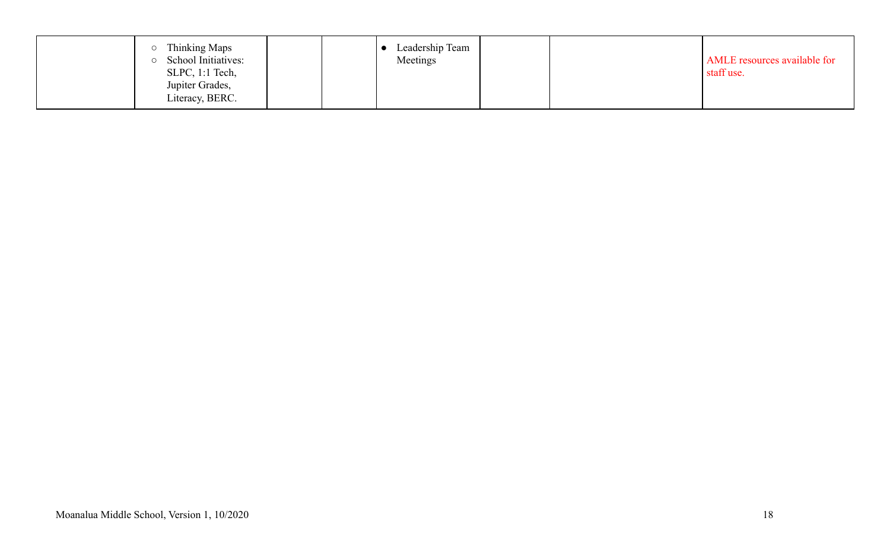|  | Thinking Maps<br>School Initiatives:<br>$SLPC$ , 1:1 Tech,<br>Jupiter Grades,<br>Literacy, BERC. |  | Leadership Team<br>Meetings |  | AMLE resources available for<br>staff use. |
|--|--------------------------------------------------------------------------------------------------|--|-----------------------------|--|--------------------------------------------|
|--|--------------------------------------------------------------------------------------------------|--|-----------------------------|--|--------------------------------------------|